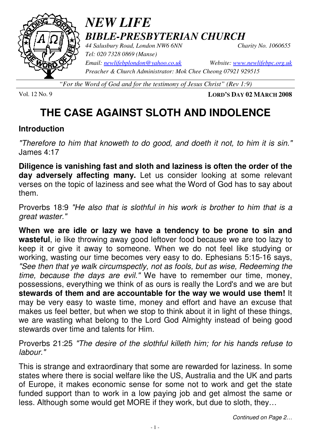

# *NEW LIFE BIBLE-PRESBYTERIAN CHURCH*

*44 Salusbury Road, London NW6 6NN Charity No. 1060655 Tel: 020 7328 0869 (Manse) Preacher & Church Administrator: Mok Chee Cheong 07921 929515* 

*Email: newlifebplondon@yahoo.co.uk Website: www.newlifebpc.org.uk*

*"For the Word of God and for the testimony of Jesus Christ" (Rev 1:9)*

Vol. 12 No. 9 **LORD'S DAY 02 MARCH 2008**

# **THE CASE AGAINST SLOTH AND INDOLENCE**

### **Introduction**

"Therefore to him that knoweth to do good, and doeth it not, to him it is sin." James 4:17

**Diligence is vanishing fast and sloth and laziness is often the order of the day adversely affecting many.** Let us consider looking at some relevant verses on the topic of laziness and see what the Word of God has to say about them.

Proverbs 18:9 "He also that is slothful in his work is brother to him that is a great waster."

**When we are idle or lazy we have a tendency to be prone to sin and wasteful**, ie like throwing away good leftover food because we are too lazy to keep it or give it away to someone. When we do not feel like studying or working, wasting our time becomes very easy to do. Ephesians 5:15-16 says, "See then that ye walk circumspectly, not as fools, but as wise, Redeeming the time, because the days are evil." We have to remember our time, money, possessions, everything we think of as ours is really the Lord's and we are but **stewards of them and are accountable for the way we would use them!** It may be very easy to waste time, money and effort and have an excuse that makes us feel better, but when we stop to think about it in light of these things, we are wasting what belong to the Lord God Almighty instead of being good stewards over time and talents for Him.

Proverbs 21:25 "The desire of the slothful killeth him; for his hands refuse to labour."

This is strange and extraordinary that some are rewarded for laziness. In some states where there is social welfare like the US, Australia and the UK and parts of Europe, it makes economic sense for some not to work and get the state funded support than to work in a low paying job and get almost the same or less. Although some would get MORE if they work, but due to sloth, they…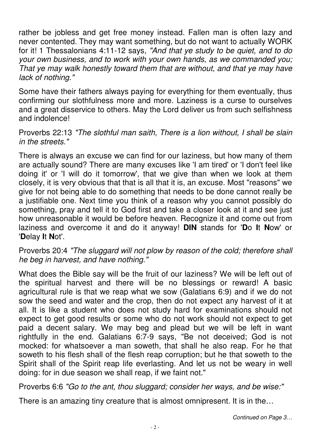rather be jobless and get free money instead. Fallen man is often lazy and never contented. They may want something, but do not want to actually WORK for it! 1 Thessalonians 4:11-12 says, "And that ye study to be quiet, and to do your own business, and to work with your own hands, as we commanded you; That ye may walk honestly toward them that are without, and that ye may have lack of nothing."

Some have their fathers always paying for everything for them eventually, thus confirming our slothfulness more and more. Laziness is a curse to ourselves and a great disservice to others. May the Lord deliver us from such selfishness and indolence!

#### Proverbs 22:13 "The slothful man saith, There is a lion without, I shall be slain in the streets."

There is always an excuse we can find for our laziness, but how many of them are actually sound? There are many excuses like 'I am tired' or 'I don't feel like doing it' or 'I will do it tomorrow', that we give than when we look at them closely, it is very obvious that that is all that it is, an excuse. Most "reasons" we give for not being able to do something that needs to be done cannot really be a justifiable one. Next time you think of a reason why you cannot possibly do something, pray and tell it to God first and take a closer look at it and see just how unreasonable it would be before heaven. Recognize it and come out from laziness and overcome it and do it anyway! **DIN** stands for '**D**o **I**t **N**ow' or '**D**elay **I**t **N**ot'.

#### Proverbs 20:4 "The sluggard will not plow by reason of the cold; therefore shall he beg in harvest, and have nothing."

What does the Bible say will be the fruit of our laziness? We will be left out of the spiritual harvest and there will be no blessings or reward! A basic agricultural rule is that we reap what we sow (Galatians 6:9) and if we do not sow the seed and water and the crop, then do not expect any harvest of it at all. It is like a student who does not study hard for examinations should not expect to get good results or some who do not work should not expect to get paid a decent salary. We may beg and plead but we will be left in want rightfully in the end. Galatians 6:7-9 says, "Be not deceived; God is not mocked: for whatsoever a man soweth, that shall he also reap. For he that soweth to his flesh shall of the flesh reap corruption; but he that soweth to the Spirit shall of the Spirit reap life everlasting. And let us not be weary in well doing: for in due season we shall reap, if we faint not."

Proverbs 6:6 "Go to the ant, thou sluggard; consider her ways, and be wise:"

There is an amazing tiny creature that is almost omnipresent. It is in the…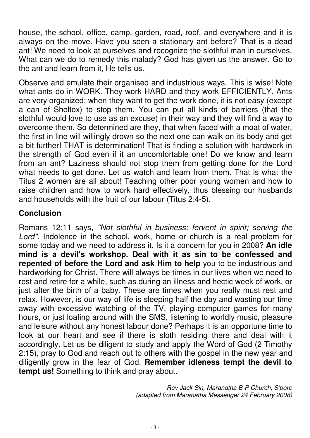house, the school, office, camp, garden, road, roof, and everywhere and it is always on the move. Have you seen a stationary ant before? That is a dead ant! We need to look at ourselves and recognize the slothful man in ourselves. What can we do to remedy this malady? God has given us the answer. Go to the ant and learn from it, He tells us.

Observe and emulate their organised and industrious ways. This is wise! Note what ants do in WORK. They work HARD and they work EFFICIENTLY. Ants are very organized; when they want to get the work done, it is not easy (except a can of Sheltox) to stop them. You can put all kinds of barriers (that the slothful would love to use as an excuse) in their way and they will find a way to overcome them. So determined are they, that when faced with a moat of water, the first in line will willingly drown so the next one can walk on its body and get a bit further! THAT is determination! That is finding a solution with hardwork in the strength of God even if it an uncomfortable one! Do we know and learn from an ant? Laziness should not stop them from getting done for the Lord what needs to get done. Let us watch and learn from them. That is what the Titus 2 women are all about! Teaching other poor young women and how to raise children and how to work hard effectively, thus blessing our husbands and households with the fruit of our labour (Titus 2:4-5).

### **Conclusion**

Romans 12:11 says, "Not slothful in business; fervent in spirit; serving the Lord". Indolence in the school, work, home or church is a real problem for some today and we need to address it. Is it a concern for you in 2008? **An idle mind is a devil's workshop. Deal with it as sin to be confessed and repented of before the Lord and ask Him to help** you to be industrious and hardworking for Christ. There will always be times in our lives when we need to rest and retire for a while, such as during an illness and hectic week of work, or just after the birth of a baby. These are times when you really must rest and relax. However, is our way of life is sleeping half the day and wasting our time away with excessive watching of the TV, playing computer games for many hours, or just loafing around with the SMS, listening to worldly music, pleasure and leisure without any honest labour done? Perhaps it is an opportune time to look at our heart and see if there is sloth residing there and deal with it accordingly. Let us be diligent to study and apply the Word of God (2 Timothy 2:15), pray to God and reach out to others with the gospel in the new year and diligently grow in the fear of God. **Remember idleness tempt the devil to tempt us!** Something to think and pray about.

> Rev Jack Sin, Maranatha B-P Church, S'pore (adapted from Maranatha Messenger 24 February 2008)